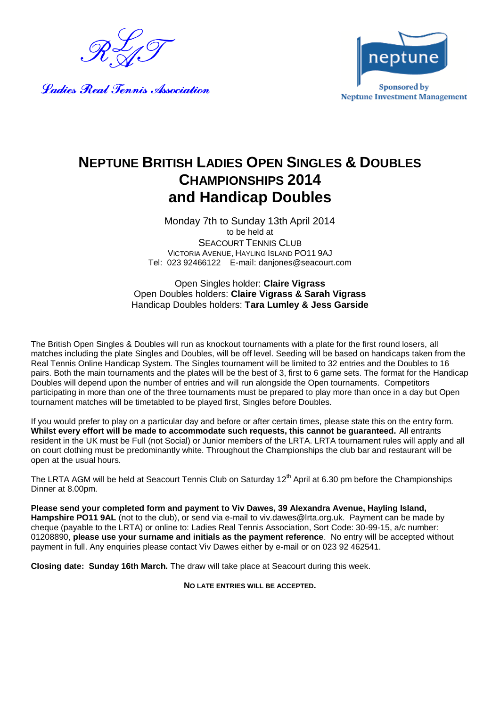

Ladies Real Tennis Association



## **NEPTUNE BRITISH LADIES OPEN SINGLES & DOUBLES CHAMPIONSHIPS 2014 and Handicap Doubles**

Monday 7th to Sunday 13th April 2014 to be held at SEACOURT TENNIS CLUB VICTORIA AVENUE, HAYLING ISLAND PO11 9AJ Tel: 023 92466122 E-mail: danjones@seacourt.com

Open Singles holder: **Claire Vigrass** Open Doubles holders: **Claire Vigrass & Sarah Vigrass** Handicap Doubles holders: **Tara Lumley & Jess Garside**

The British Open Singles & Doubles will run as knockout tournaments with a plate for the first round losers, all matches including the plate Singles and Doubles, will be off level. Seeding will be based on handicaps taken from the Real Tennis Online Handicap System. The Singles tournament will be limited to 32 entries and the Doubles to 16 pairs. Both the main tournaments and the plates will be the best of 3, first to 6 game sets. The format for the Handicap Doubles will depend upon the number of entries and will run alongside the Open tournaments. Competitors participating in more than one of the three tournaments must be prepared to play more than once in a day but Open tournament matches will be timetabled to be played first, Singles before Doubles.

If you would prefer to play on a particular day and before or after certain times, please state this on the entry form. **Whilst every effort will be made to accommodate such requests, this cannot be guaranteed.** All entrants resident in the UK must be Full (not Social) or Junior members of the LRTA. LRTA tournament rules will apply and all on court clothing must be predominantly white. Throughout the Championships the club bar and restaurant will be open at the usual hours.

The LRTA AGM will be held at Seacourt Tennis Club on Saturday 12<sup>th</sup> April at 6.30 pm before the Championships Dinner at 8.00pm.

**Please send your completed form and payment to Viv Dawes, 39 Alexandra Avenue, Hayling Island, Hampshire PO11 9AL** (not to the club), or send via e-mail to viv.dawes@lrta.org.uk. Payment can be made by cheque (payable to the LRTA) or online to: Ladies Real Tennis Association, Sort Code: 30-99-15, a/c number: 01208890, **please use your surname and initials as the payment reference**. No entry will be accepted without payment in full. Any enquiries please contact Viv Dawes either by e-mail or on 023 92 462541.

**Closing date: Sunday 16th March.** The draw will take place at Seacourt during this week.

**NO LATE ENTRIES WILL BE ACCEPTED.**